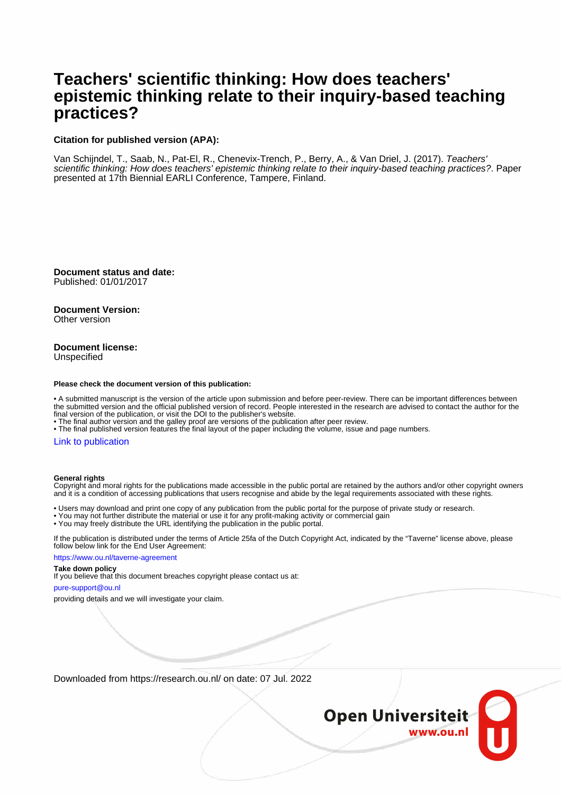#### **Teachers' scientific thinking: How does teachers' epistemic thinking relate to their inquiry-based teaching practices?**

#### **Citation for published version (APA):**

Van Schijndel, T., Saab, N., Pat-El, R., Chenevix-Trench, P., Berry, A., & Van Driel, J. (2017). Teachers' scientific thinking: How does teachers' epistemic thinking relate to their inquiry-based teaching practices?. Paper presented at 17th Biennial EARLI Conference, Tampere, Finland.

**Document status and date:** Published: 01/01/2017

**Document Version:** Other version

#### **Document license:** Unspecified

#### **Please check the document version of this publication:**

• A submitted manuscript is the version of the article upon submission and before peer-review. There can be important differences between the submitted version and the official published version of record. People interested in the research are advised to contact the author for the final version of the publication, or visit the DOI to the publisher's website.

• The final author version and the galley proof are versions of the publication after peer review.

• The final published version features the final layout of the paper including the volume, issue and page numbers.

#### [Link to publication](https://research.ou.nl/en/publications/05fa3cce-90c9-48aa-99d2-cd38b014eed2)

#### **General rights**

Copyright and moral rights for the publications made accessible in the public portal are retained by the authors and/or other copyright owners and it is a condition of accessing publications that users recognise and abide by the legal requirements associated with these rights.

• Users may download and print one copy of any publication from the public portal for the purpose of private study or research.

- You may not further distribute the material or use it for any profit-making activity or commercial gain
- You may freely distribute the URL identifying the publication in the public portal.

If the publication is distributed under the terms of Article 25fa of the Dutch Copyright Act, indicated by the "Taverne" license above, please follow below link for the End User Agreement:

https://www.ou.nl/taverne-agreement

#### **Take down policy**

If you believe that this document breaches copyright please contact us at:

pure-support@ou.nl

providing details and we will investigate your claim.

Downloaded from https://research.ou.nl/ on date: 07 Jul. 2022

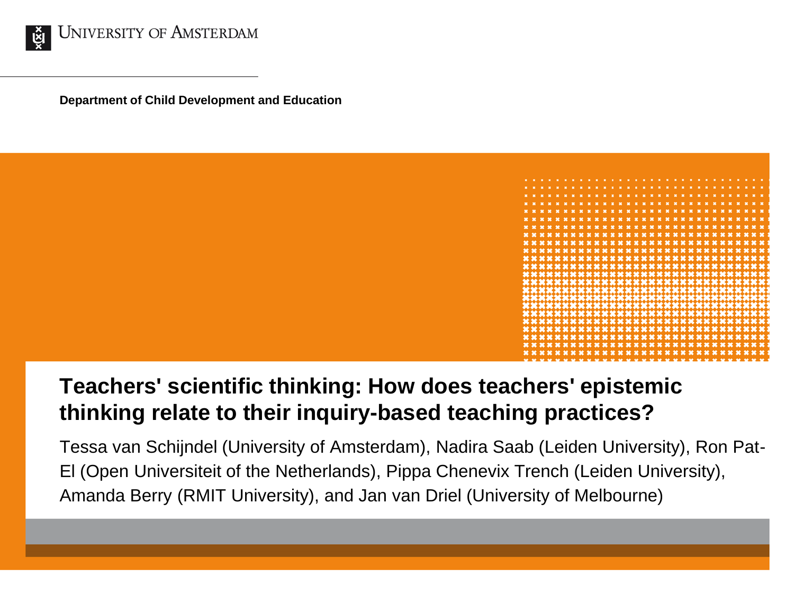

**Department of Child Development and Education**



#### **Teachers' scientific thinking: How does teachers' epistemic thinking relate to their inquiry-based teaching practices?**

Tessa van Schijndel (University of Amsterdam), Nadira Saab (Leiden University), Ron Pat-El (Open Universiteit of the Netherlands), Pippa Chenevix Trench (Leiden University), Amanda Berry (RMIT University), and Jan van Driel (University of Melbourne)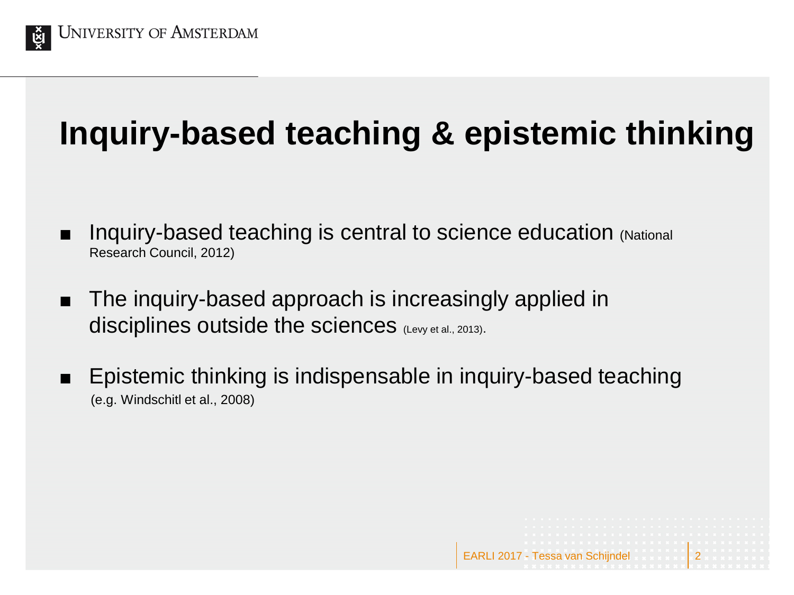

# **Inquiry-based teaching & epistemic thinking**

- Inquiry-based teaching is central to science education (National Research Council, 2012)
- The inquiry-based approach is increasingly applied in disciplines outside the sciences (Levy et al., 2013).
- Epistemic thinking is indispensable in inquiry-based teaching (e.g. Windschitl et al., 2008)

EARLI 2017 - Tessa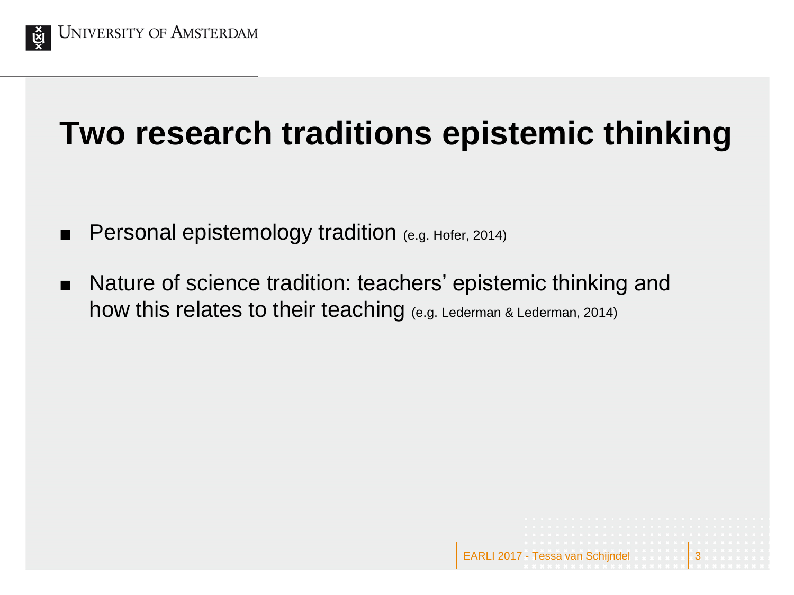

## **Two research traditions epistemic thinking**

- Personal epistemology tradition (e.g. Hofer, 2014)
- Nature of science tradition: teachers' epistemic thinking and how this relates to their teaching (e.g. Lederman & Lederman, 2014)

EARLI 2017 - Tes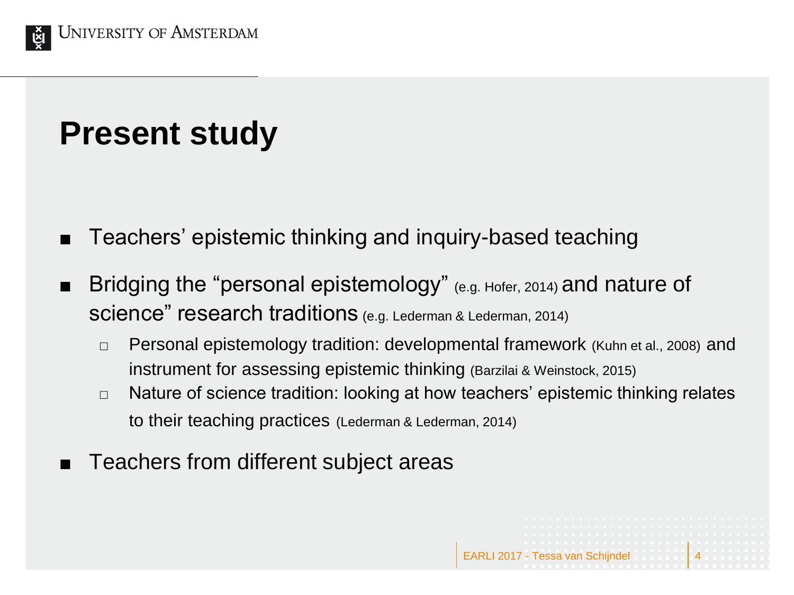

## **Present study**

- Teachers' epistemic thinking and inquiry-based teaching
- Bridging the "personal epistemology" (e.g. Hofer, 2014) and nature of science" research traditions (e.g. Lederman & Lederman, 2014)
	- □ Personal epistemology tradition: developmental framework (Kuhn et al., 2008) and instrument for assessing epistemic thinking (Barzilai & Weinstock, 2015)
	- $\Box$  Nature of science tradition: looking at how teachers' epistemic thinking relates to their teaching practices (Lederman & Lederman, 2014)
- Teachers from different subject areas

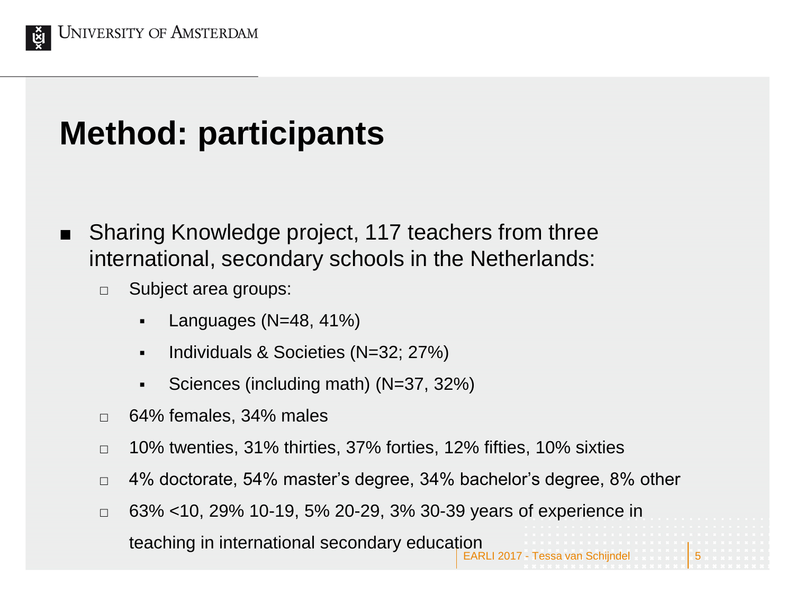

## **Method: participants**

- Sharing Knowledge project, 117 teachers from three international, secondary schools in the Netherlands:
	- □ Subject area groups:
		- Languages (N=48, 41%)
		- **Individuals & Societies (N=32; 27%)**
		- Sciences (including math)  $(N=37, 32\%)$
	- 64% females, 34% males
	- $\Box$  10% twenties, 31% thirties, 37% forties, 12% fifties, 10% sixties
	- $\Box$  4% doctorate, 54% master's degree, 34% bachelor's degree, 8% other
	- $\Box$  63% <10, 29% 10-19, 5% 20-29, 3% 30-39 years of experience in

**EARLI 2017 - Tes** teaching in international secondary education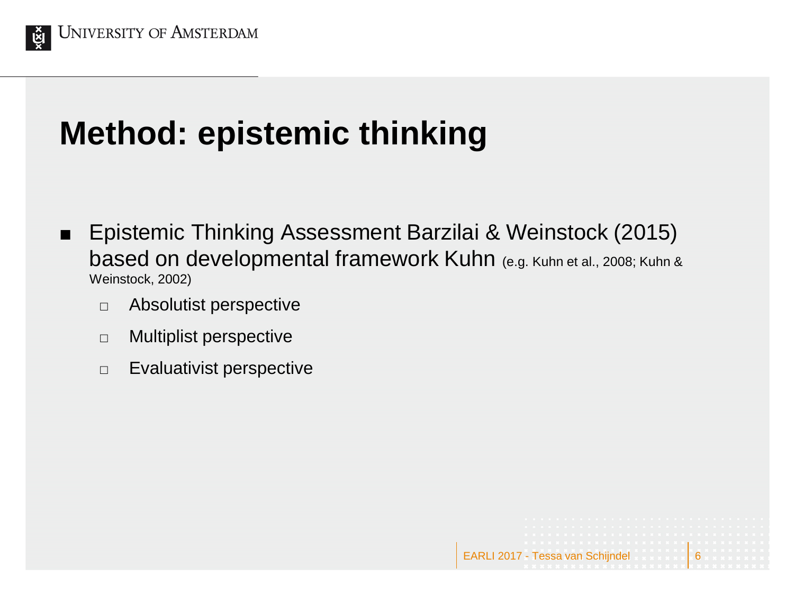

## **Method: epistemic thinking**

■ Epistemic Thinking Assessment Barzilai & Weinstock (2015) based on developmental framework Kuhn (e.g. Kuhn et al., 2008; Kuhn & Weinstock, 2002)

EARLI 2017 - Tessa van

- Absolutist perspective
- $\Box$  Multiplist perspective
- $\Box$  Evaluativist perspective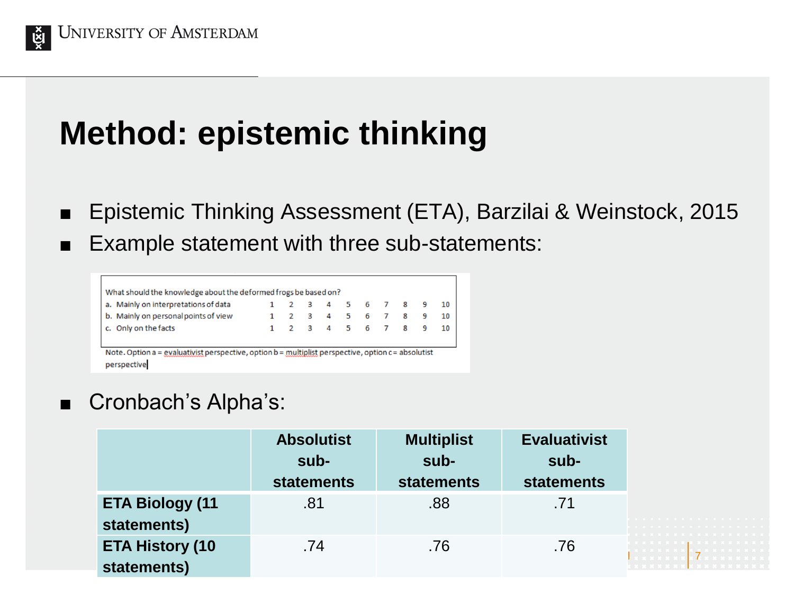

## **Method: epistemic thinking**

- Epistemic Thinking Assessment (ETA), Barzilai & Weinstock, 2015
- Example statement with three sub-statements:

| a. Mainly on interpretations of data |     |  | 2 3 4 5 6 7 8 9 |  |  | 10 |
|--------------------------------------|-----|--|-----------------|--|--|----|
| b. Mainly on personal points of view | 2 3 |  | 4 5 6 7 8       |  |  | 10 |
| c. Only on the facts                 |     |  | 2 3 4 5 6 7 8   |  |  | 10 |

#### Cronbach's Alpha's:

|                                       | <b>Absolutist</b><br>sub-<br><b>statements</b> | <b>Multiplist</b><br>sub-<br><b>statements</b> | <b>Evaluativist</b><br>sub-<br><b>statements</b> |        |
|---------------------------------------|------------------------------------------------|------------------------------------------------|--------------------------------------------------|--------|
| <b>ETA Biology (11</b><br>statements) | .81                                            | .88                                            | .71                                              | .<br>. |
| <b>ETA History (10</b><br>statements) | .74                                            | .76                                            | .76                                              | .      |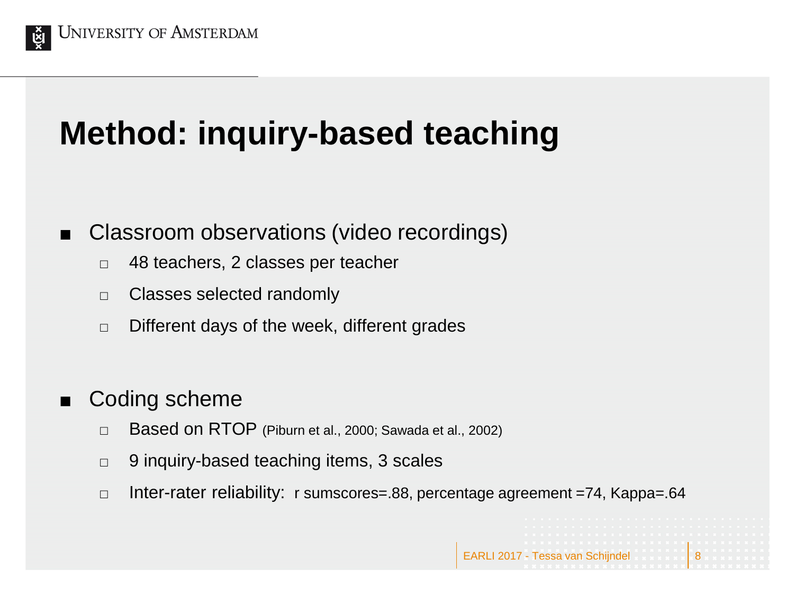

# **Method: inquiry-based teaching**

- Classroom observations (video recordings)
	- □ 48 teachers, 2 classes per teacher
	- $\Box$  Classes selected randomly
	- $\Box$  Different days of the week, different grades

#### Coding scheme

- $\Box$  Based on RTOP (Piburn et al., 2000; Sawada et al., 2002)
- $\Box$  9 inquiry-based teaching items, 3 scales
- $\Box$  Inter-rater reliability: r sumscores=.88, percentage agreement =74, Kappa=.64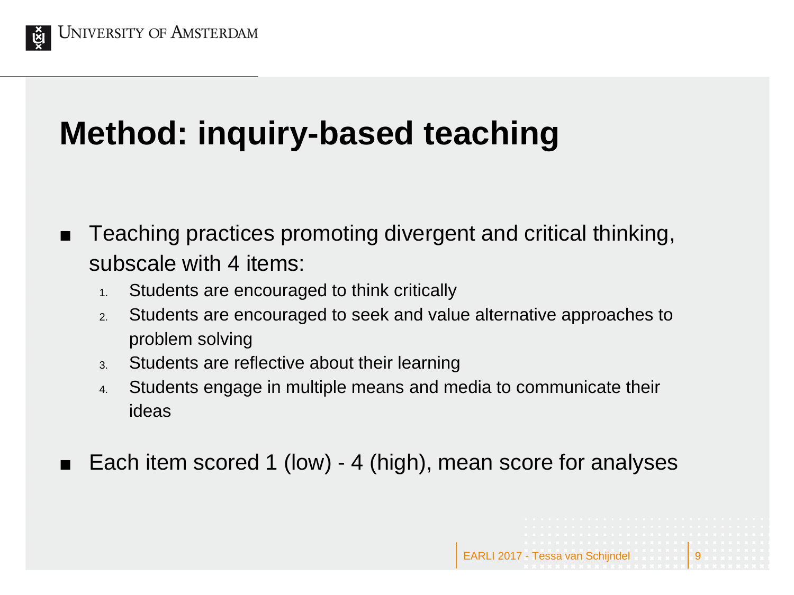

# **Method: inquiry-based teaching**

- Teaching practices promoting divergent and critical thinking, subscale with 4 items:
	- 1. Students are encouraged to think critically
	- 2. Students are encouraged to seek and value alternative approaches to problem solving
	- 3. Students are reflective about their learning
	- 4. Students engage in multiple means and media to communicate their ideas
- Each item scored 1 (low) 4 (high), mean score for analyses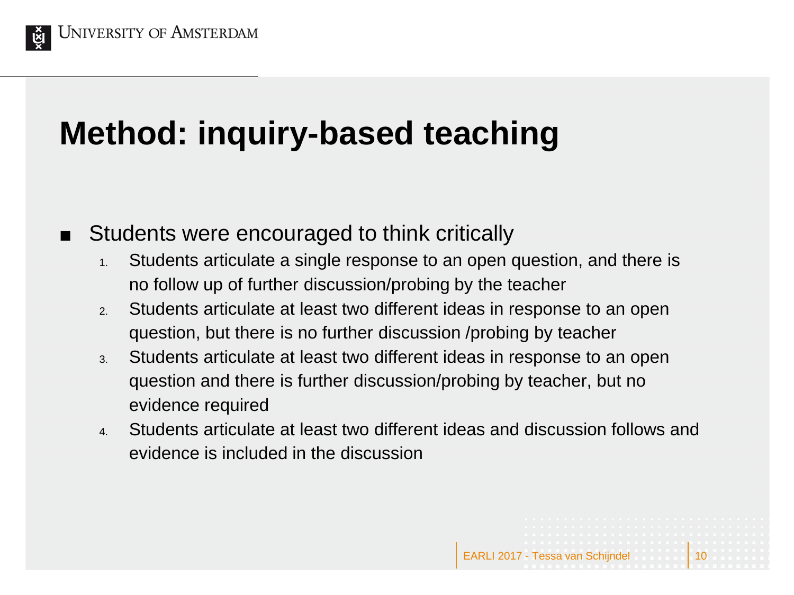

# **Method: inquiry-based teaching**

- Students were encouraged to think critically
	- 1. Students articulate a single response to an open question, and there is no follow up of further discussion/probing by the teacher
	- 2. Students articulate at least two different ideas in response to an open question, but there is no further discussion /probing by teacher
	- 3. Students articulate at least two different ideas in response to an open question and there is further discussion/probing by teacher, but no evidence required
	- 4. Students articulate at least two different ideas and discussion follows and evidence is included in the discussion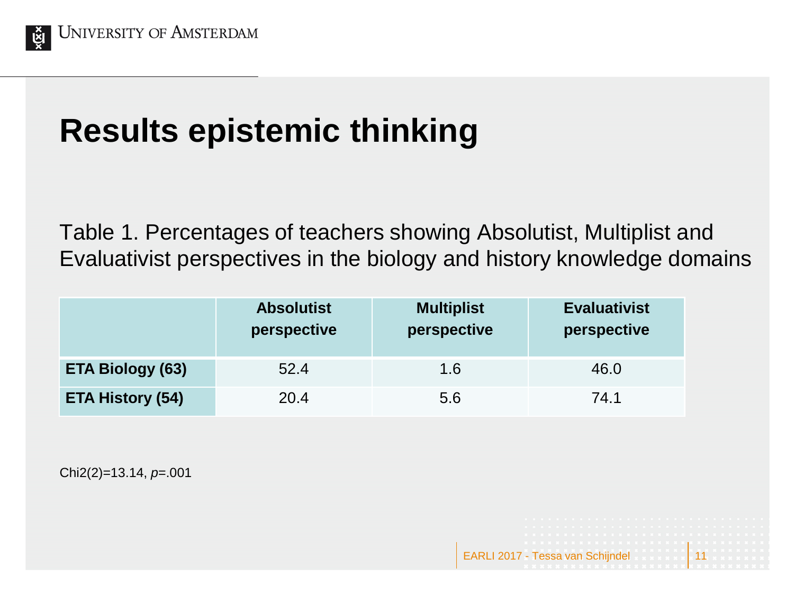

# **Results epistemic thinking**

Table 1. Percentages of teachers showing Absolutist, Multiplist and Evaluativist perspectives in the biology and history knowledge domains

EARLI 2017 - Tessa van

|                         | <b>Absolutist</b><br>perspective | <b>Multiplist</b><br>perspective | <b>Evaluativist</b><br>perspective |
|-------------------------|----------------------------------|----------------------------------|------------------------------------|
| <b>ETA Biology (63)</b> | 52.4                             | 1.6                              | 46.0                               |
| <b>ETA History (54)</b> | 20.4                             | 5.6                              | 74.1                               |

Chi2(2)=13.14, *p*=.001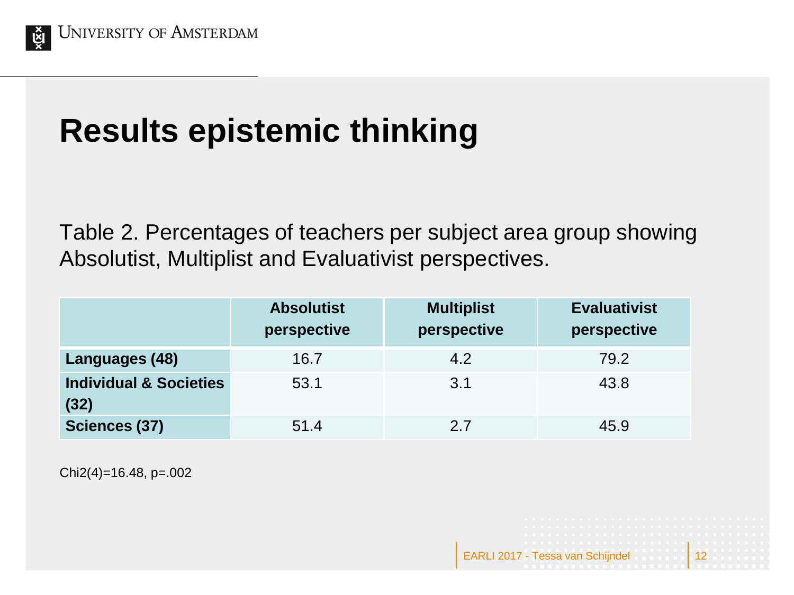

# **Results epistemic thinking**

Table 2. Percentages of teachers per subject area group showing Absolutist, Multiplist and Evaluativist perspectives.

|                                           | <b>Absolutist</b><br>perspective | <b>Multiplist</b><br>perspective | <b>Evaluativist</b><br>perspective |
|-------------------------------------------|----------------------------------|----------------------------------|------------------------------------|
| Languages (48)                            | 16.7                             | 4.2                              | 79.2                               |
| <b>Individual &amp; Societies</b><br>(32) | 53.1                             | 3.1                              | 43.8                               |
| Sciences (37)                             | 51.4                             | 2.7                              | 45.9                               |

Chi2(4)=16.48, p=.002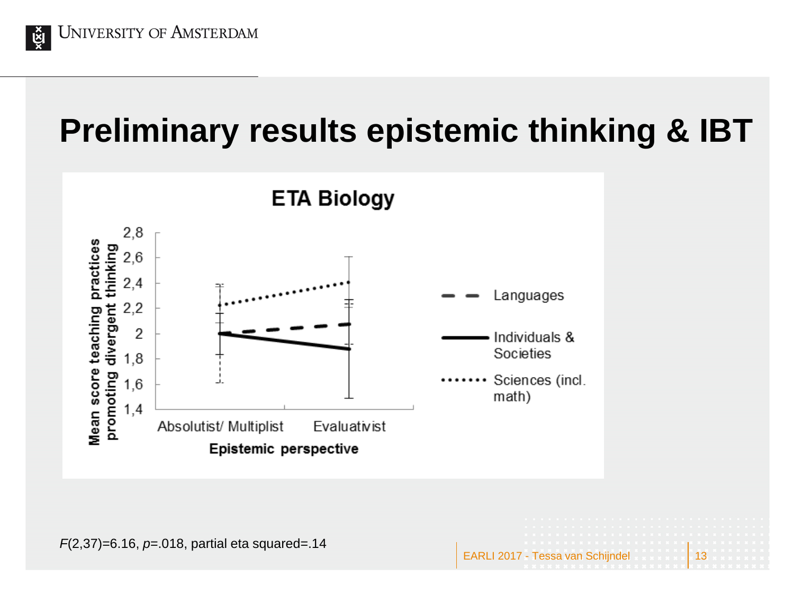

### **Preliminary results epistemic thinking & IBT**

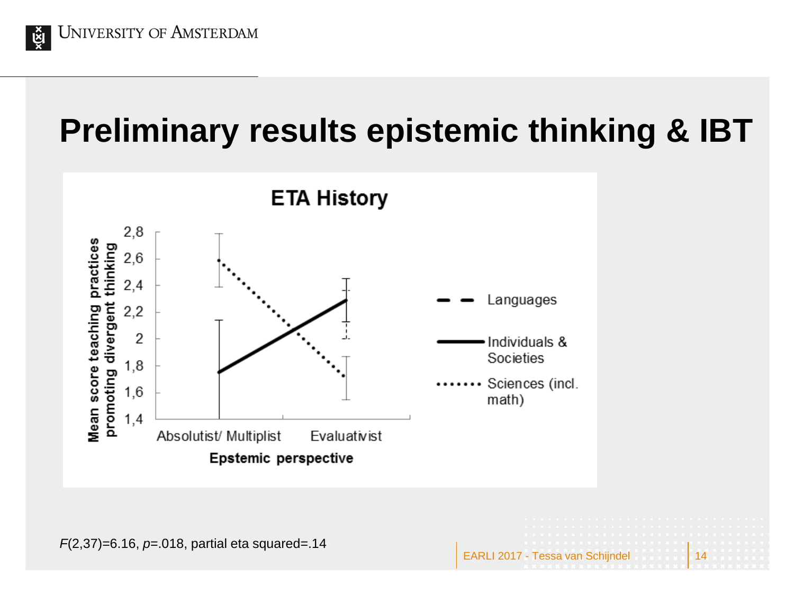

### **Preliminary results epistemic thinking & IBT**

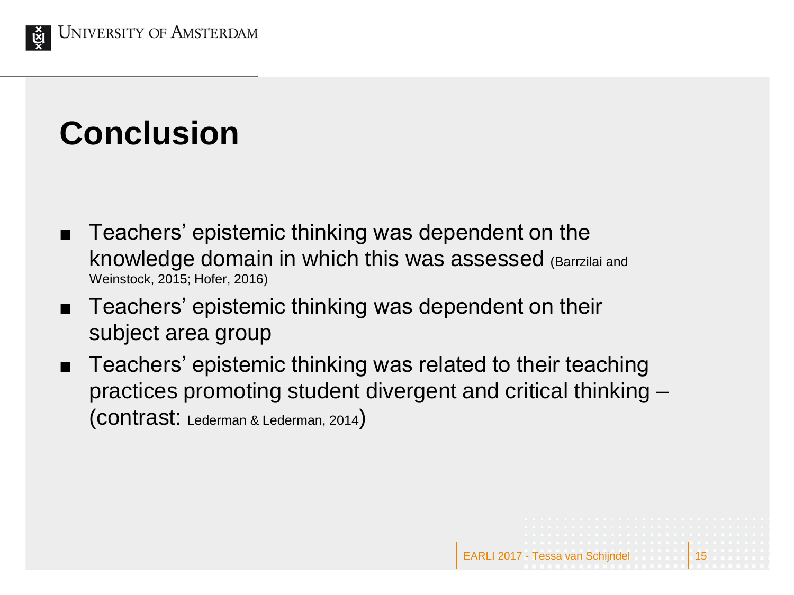

# **Conclusion**

- Teachers' epistemic thinking was dependent on the knowledge domain in which this was assessed (Barrzilai and Weinstock, 2015; Hofer, 2016)
- Teachers' epistemic thinking was dependent on their subject area group
- Teachers' epistemic thinking was related to their teaching practices promoting student divergent and critical thinking – (contrast: Lederman & Lederman, 2014)

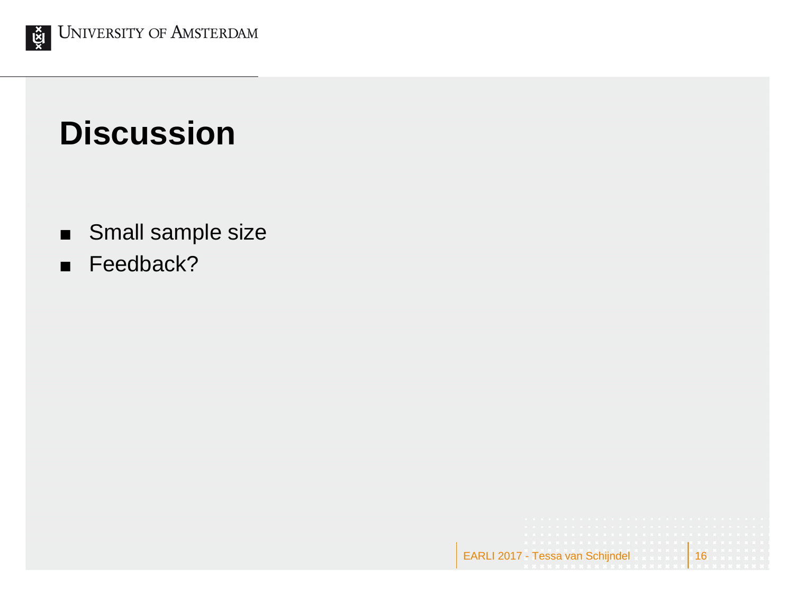

### **Discussion**

Small sample size

EARLI 2017 - Tessa van Schijndel 16

Feedback?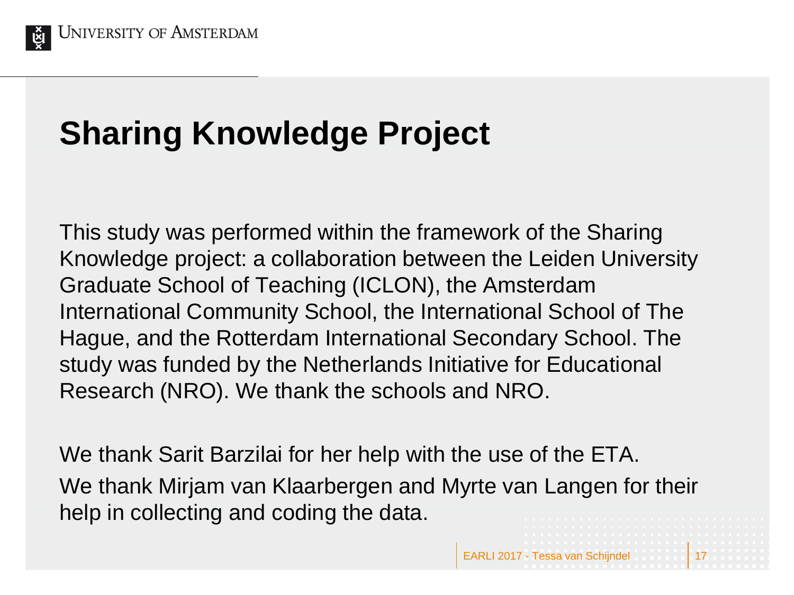

### **Sharing Knowledge Project**

This study was performed within the framework of the Sharing Knowledge project: a collaboration between the Leiden University Graduate School of Teaching (ICLON), the Amsterdam International Community School, the International School of The Hague, and the Rotterdam International Secondary School. The study was funded by the Netherlands Initiative for Educational Research (NRO). We thank the schools and NRO.

We thank Sarit Barzilai for her help with the use of the ETA. We thank Mirjam van Klaarbergen and Myrte van Langen for their help in collecting and coding the data.